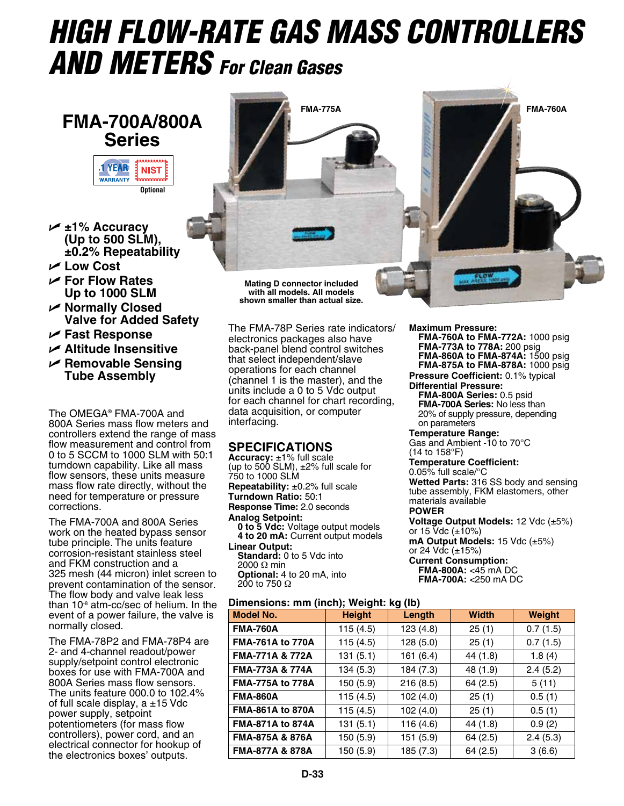# *HIGH FLOW-RATE Gas MASS CONTROLLERS AND METERS For Clean Gases*

## **FMA-700A/800A Series**



- U **±1% Accuracy (Up to 500 SLM), ±0.2% Repeatability**
- U **Low Cost**
- U **For Flow Rates Up to 1000 SLM**
- U **Normally Closed Valve for Added Safety**
- U **Fast Response**
- U **Altitude Insensitive**
- U **Removable Sensing Tube Assembly**

The OMEGA® FMA-700A and 800A Series mass flow meters and controllers extend the range of mass flow measurement and control from 0 to 5 SCCM to 1000 SLM with 50:1 turndown capability. Like all mass flow sensors, these units measure mass flow rate directly, without the need for temperature or pressure corrections.

The FMA-700A and 800A Series work on the heated bypass sensor tube principle. The units feature corrosion-resistant stainless steel and FKM construction and a 325 mesh (44 micron) inlet screen to prevent contamination of the sensor. The flow body and valve leak less than 10-8 atm-cc/sec of helium. In the event of a power failure, the valve is normally closed.

The FMA-78P2 and FMA-78P4 are 2- and 4-channel readout/power supply/setpoint control electronic boxes for use with FMA-700A and 800A Series mass flow sensors. The units feature 000.0 to 102.4% of full scale display, a ±15 Vdc power supply, setpoint potentiometers (for mass flow controllers), power cord, and an electrical connector for hookup of the electronics boxes' outputs.



**with all models. All models shown smaller than actual size.**

The FMA-78P Series rate indicators/ electronics packages also have back-panel blend control switches that select independent/slave operations for each channel (channel 1 is the master), and the units include a 0 to 5 Vdc output for each channel for chart recording, data acquisition, or computer interfacing.

### **SPECIFICATIONS**

**Accuracy:** ±1% full scale (up to 500 SLM),  $\pm 2\%$  full scale for 750 to 1000 SLM **Repeatability:** ±0.2% full scale **Turndown Ratio:** 50:1 **Response Time:** 2.0 seconds **Analog Setpoint: 0 to 5 Vdc:** Voltage output models **4 to 20 mA:** Current output models **Linear Output: Standard:** 0 to 5 Vdc into 2000 Ω min **Optional:** 4 to 20 mA, into 200 to 750  $\Omega$ 

**Dimensions: mm (inch); Weight: kg (lb)**

**Maximum Pressure:**

**FMA-760A to FMA-772A:** 1000 psig **FMA-773A to 778A:** 200 psig **FMA-860A to FMA-874A:** 1500 psig **FMA-875A to FMA-878A:** 1000 psig **Pressure Coefficient:** 0.1% typical **Differential Pressure: FMA-800A Series:** 0.5 psid **FMA-700A Series:** No less than 20% of supply pressure, depending on parameters **Temperature Range:** Gas and Ambient -10 to 70°C (14 to 158°F) **Temperature Coefficient:** 0.05% full scale/°C **Wetted Parts:** 316 SS body and sensing tube assembly, FKM elastomers, other materials available **Power Voltage Output Models:** 12 Vdc (±5%)

or 15 Vdc (±10%) **mA Output Models:** 15 Vdc (±5%) or 24 Vdc (±15%)

### **Current Consumption: FMA-800A:** <45 mA DC

**FMA-700A:** <250 mA DC

| )imensions: mm (inch);        Weight: kg (lb) |  |
|-----------------------------------------------|--|
|                                               |  |

| <b>Model No.</b>           | <b>Height</b> | . .<br>Length | <b>Width</b> | <b>Weight</b> |
|----------------------------|---------------|---------------|--------------|---------------|
| <b>FMA-760A</b>            | 115(4.5)      | 123(4.8)      | 25(1)        | 0.7(1.5)      |
| <b>FMA-761A to 770A</b>    | 115(4.5)      | 128(5.0)      | 25(1)        | 0.7(1.5)      |
| <b>FMA-771A &amp; 772A</b> | 131(5.1)      | 161(6.4)      | 44 (1.8)     | 1.8(4)        |
| FMA-773A & 774A            | 134(5.3)      | 184 (7.3)     | 48 (1.9)     | 2.4(5.2)      |
| <b>FMA-775A to 778A</b>    | 150 (5.9)     | 216(8.5)      | 64(2.5)      | 5(11)         |
| <b>FMA-860A</b>            | 115(4.5)      | 102(4.0)      | 25(1)        | 0.5(1)        |
| <b>FMA-861A to 870A</b>    | 115(4.5)      | 102(4.0)      | 25(1)        | 0.5(1)        |
| <b>FMA-871A to 874A</b>    | 131(5.1)      | 116 (4.6)     | 44 (1.8)     | 0.9(2)        |
| FMA-875A & 876A            | 150 (5.9)     | 151 (5.9)     | 64(2.5)      | 2.4(5.3)      |
| <b>FMA-877A &amp; 878A</b> | 150 (5.9)     | 185 (7.3)     | 64 (2.5)     | 3(6.6)        |